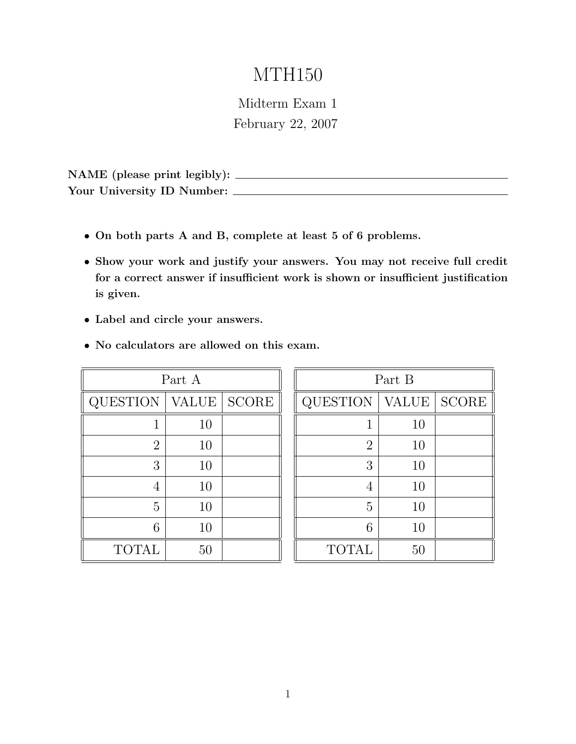# MTH150

Midterm Exam 1 February 22, 2007

NAME (please print legibly): Your University ID Number:

- On both parts A and B, complete at least 5 of 6 problems.
- Show your work and justify your answers. You may not receive full credit for a correct answer if insufficient work is shown or insufficient justification is given.
- Label and circle your answers.
- No calculators are allowed on this exam.

| Part A         |    |               |
|----------------|----|---------------|
| QUESTION       |    | VALUE   SCORE |
| 1              | 10 |               |
| $\overline{2}$ | 10 |               |
| 3              | 10 |               |
| 4              | 10 |               |
| 5              | 10 |               |
| 6              | 10 |               |
| <b>TOTAL</b>   | 50 |               |

| Part B         |              |              |
|----------------|--------------|--------------|
| QUESTION       | <b>VALUE</b> | <b>SCORE</b> |
| 1              | 10           |              |
| $\overline{2}$ | 10           |              |
| 3              | 10           |              |
| 4              | 10           |              |
| 5              | 10           |              |
| 6              | 10           |              |
| <b>TOTAL</b>   | $50\,$       |              |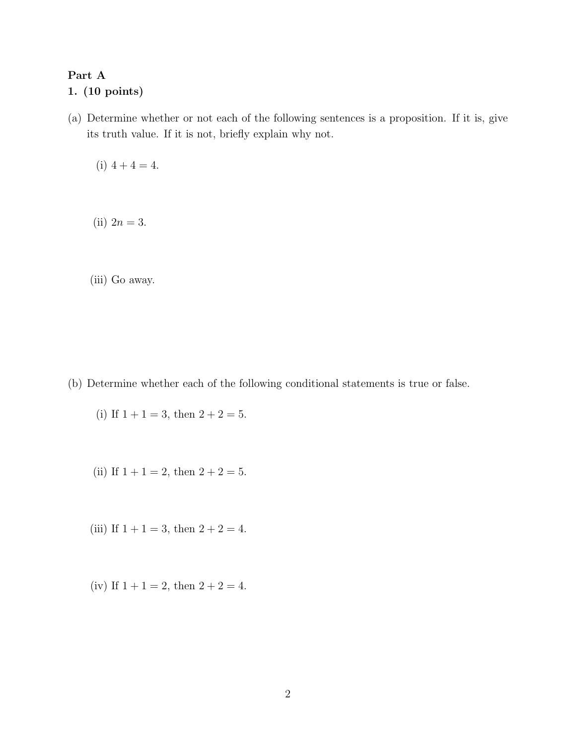#### Part A

#### 1. (10 points)

(a) Determine whether or not each of the following sentences is a proposition. If it is, give its truth value. If it is not, briefly explain why not.

(i)  $4 + 4 = 4$ .

(ii)  $2n = 3$ .

(iii) Go away.

(b) Determine whether each of the following conditional statements is true or false.

(i) If  $1 + 1 = 3$ , then  $2 + 2 = 5$ .

- (ii) If  $1 + 1 = 2$ , then  $2 + 2 = 5$ .
- (iii) If  $1 + 1 = 3$ , then  $2 + 2 = 4$ .
- (iv) If  $1 + 1 = 2$ , then  $2 + 2 = 4$ .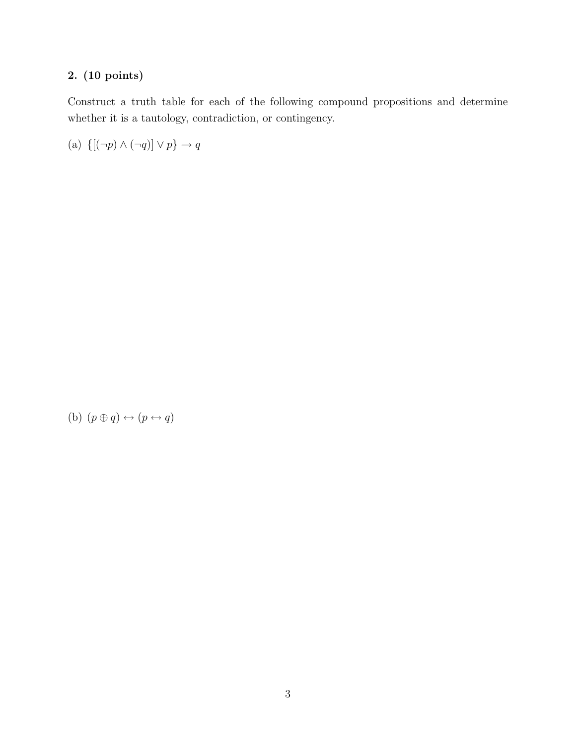Construct a truth table for each of the following compound propositions and determine whether it is a tautology, contradiction, or contingency.

(a)  $\{ [(\neg p) \land (\neg q)] \lor p \} \rightarrow q$ 

(b)  $(p \oplus q) \leftrightarrow (p \leftrightarrow q)$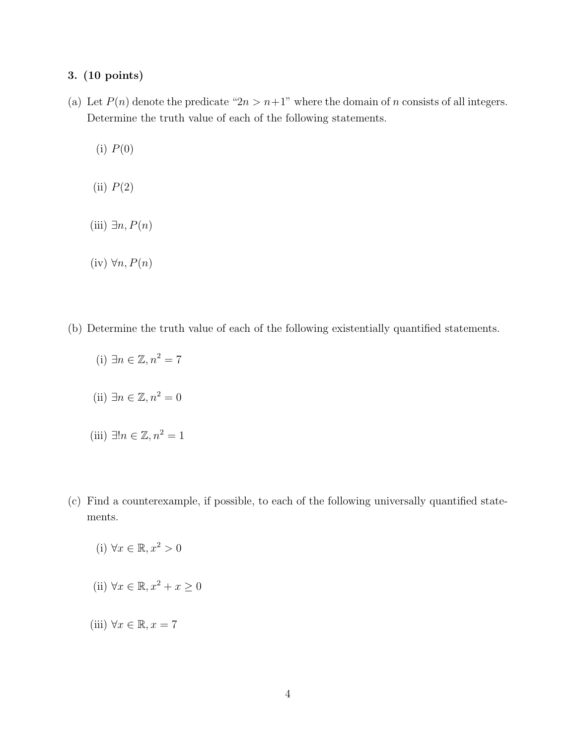- (a) Let  $P(n)$  denote the predicate " $2n > n+1$ " where the domain of n consists of all integers. Determine the truth value of each of the following statements.
	- $(i)$   $P(0)$
	- (ii)  $P(2)$
	- (iii)  $\exists n, P(n)$
	- (iv)  $\forall n, P(n)$
- (b) Determine the truth value of each of the following existentially quantified statements.
	- (i)  $\exists n \in \mathbb{Z}, n^2 = 7$
	- (ii)  $\exists n \in \mathbb{Z}, n^2 = 0$
	- (iii) ∃! $n \in \mathbb{Z}$ ,  $n^2 = 1$
- (c) Find a counterexample, if possible, to each of the following universally quantified statements.
	- (i)  $\forall x \in \mathbb{R}, x^2 > 0$
	- (ii)  $\forall x \in \mathbb{R}, x^2 + x > 0$
	- (iii)  $\forall x \in \mathbb{R}, x = 7$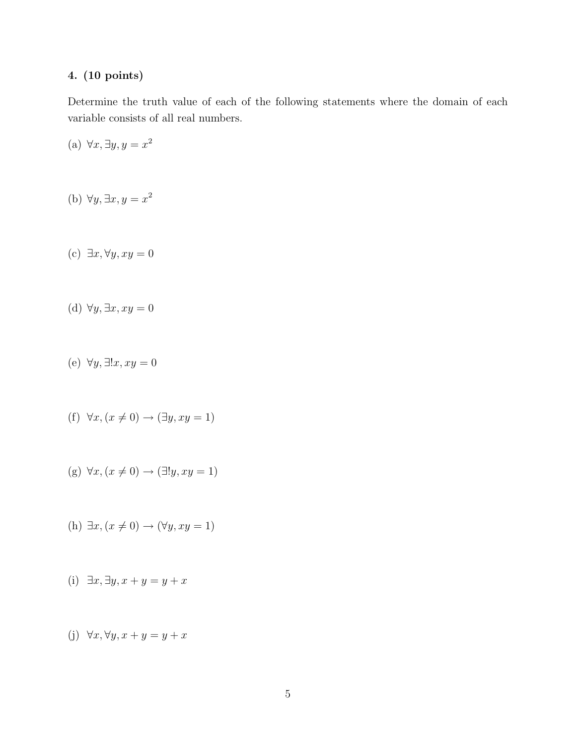Determine the truth value of each of the following statements where the domain of each variable consists of all real numbers.

(a)  $\forall x, \exists y, y = x^2$ 

- (b)  $\forall y, \exists x, y = x^2$
- (c)  $\exists x, \forall y, xy = 0$
- (d)  $\forall y, \exists x, xy = 0$
- (e)  $\forall y, \exists !x, xy = 0$
- (f)  $\forall x, (x \neq 0) \rightarrow (\exists y, xy = 1)$
- (g)  $\forall x, (x \neq 0) \rightarrow (\exists! y, xy = 1)$
- (h)  $\exists x, (x \neq 0) \rightarrow (\forall y, xy = 1)$
- (i)  $\exists x, \exists y, x + y = y + x$
- (j)  $\forall x, \forall y, x + y = y + x$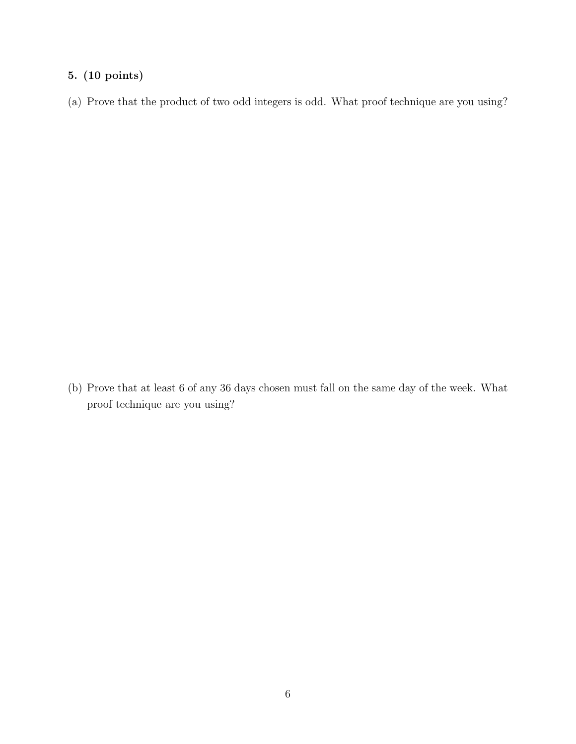(a) Prove that the product of two odd integers is odd. What proof technique are you using?

(b) Prove that at least 6 of any 36 days chosen must fall on the same day of the week. What proof technique are you using?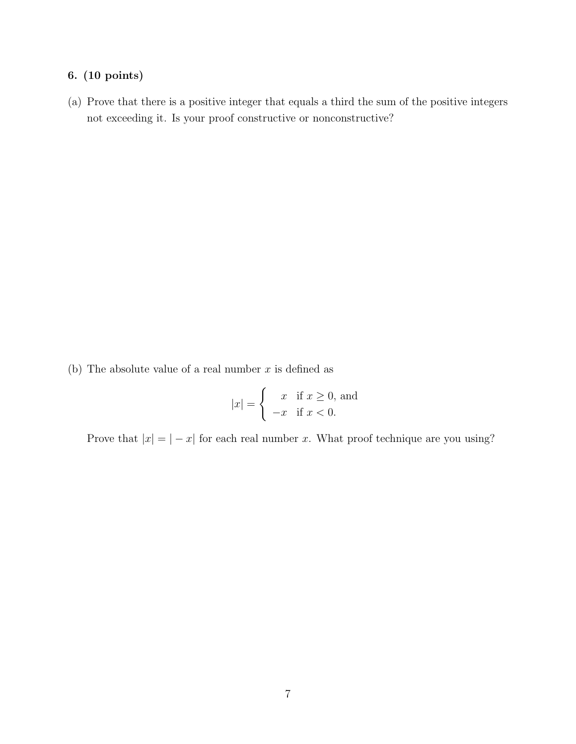(a) Prove that there is a positive integer that equals a third the sum of the positive integers not exceeding it. Is your proof constructive or nonconstructive?

(b) The absolute value of a real number  $x$  is defined as

$$
|x| = \begin{cases} x & \text{if } x \ge 0, \text{ and} \\ -x & \text{if } x < 0. \end{cases}
$$

Prove that  $|x| = |-x|$  for each real number x. What proof technique are you using?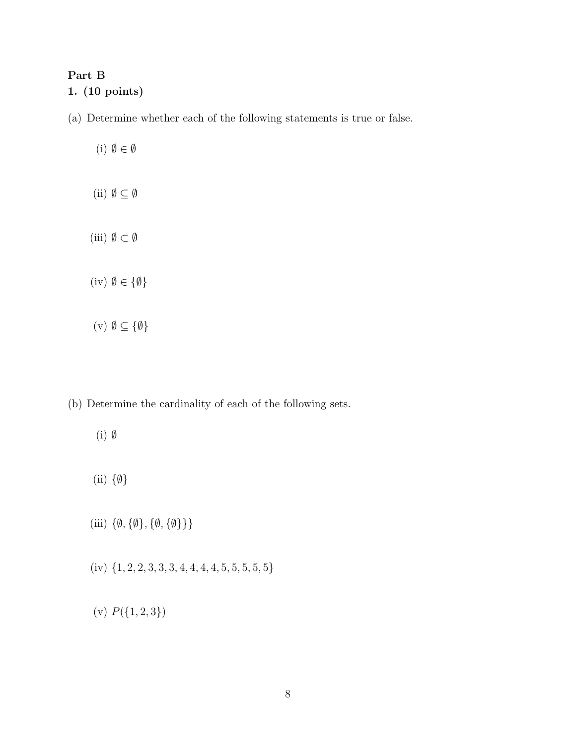#### Part B

#### 1. (10 points)

(a) Determine whether each of the following statements is true or false.

(i)  $\emptyset \in \emptyset$ (ii)  $\emptyset \subseteq \emptyset$ (iii)  $\emptyset \subset \emptyset$ (iv)  $\emptyset \in {\emptyset}$ 

(v)  $\emptyset \subseteq \{\emptyset\}$ 

(b) Determine the cardinality of each of the following sets.

- (i) ∅
- (ii) {∅}
- (iii)  $\{\emptyset, \{\emptyset\}, \{\emptyset, \{\emptyset\}\}\}\$
- (iv)  $\{1, 2, 2, 3, 3, 3, 4, 4, 4, 4, 5, 5, 5, 5, 5\}$
- (v)  $P({1, 2, 3})$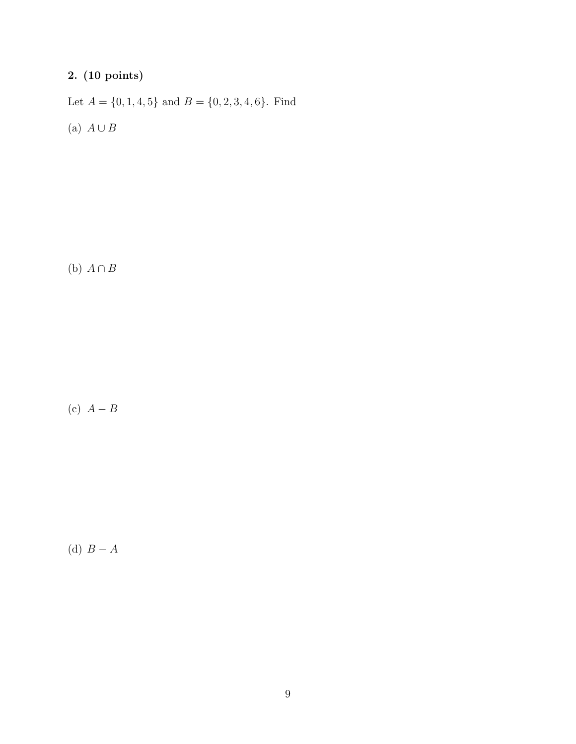Let  $A = \{0, 1, 4, 5\}$  and  $B = \{0, 2, 3, 4, 6\}$ . Find (a)  $A \cup B$ 

(b)  $A \cap B$ 

(c)  $A - B$ 

(d)  $B-A$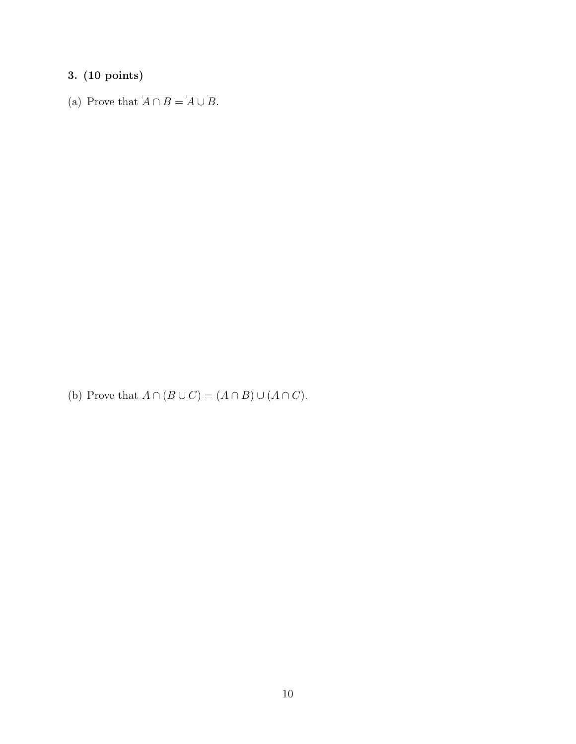(a) Prove that  $\overline{A \cap B} = \overline{A} \cup \overline{B}$ .

(b) Prove that  $A \cap (B \cup C) = (A \cap B) \cup (A \cap C)$ .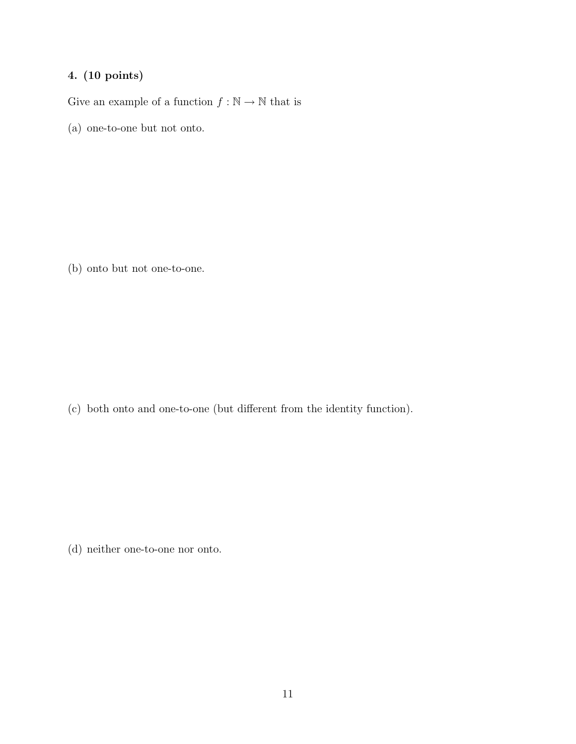Give an example of a function  $f:\mathbb{N}\rightarrow\mathbb{N}$  that is

(a) one-to-one but not onto.

(b) onto but not one-to-one.

(c) both onto and one-to-one (but different from the identity function).

(d) neither one-to-one nor onto.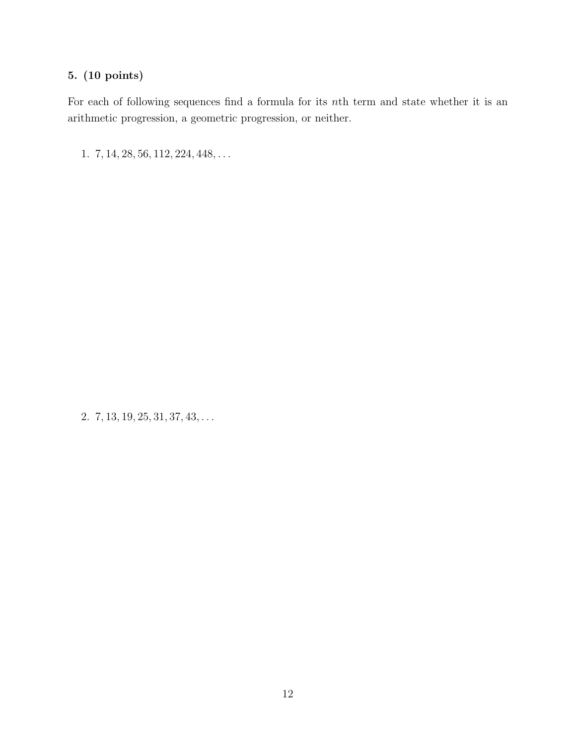For each of following sequences find a formula for its nth term and state whether it is an arithmetic progression, a geometric progression, or neither.

1. 7, 14, 28, 56, 112, 224, 448, . . .

2.  $7, 13, 19, 25, 31, 37, 43, \ldots$